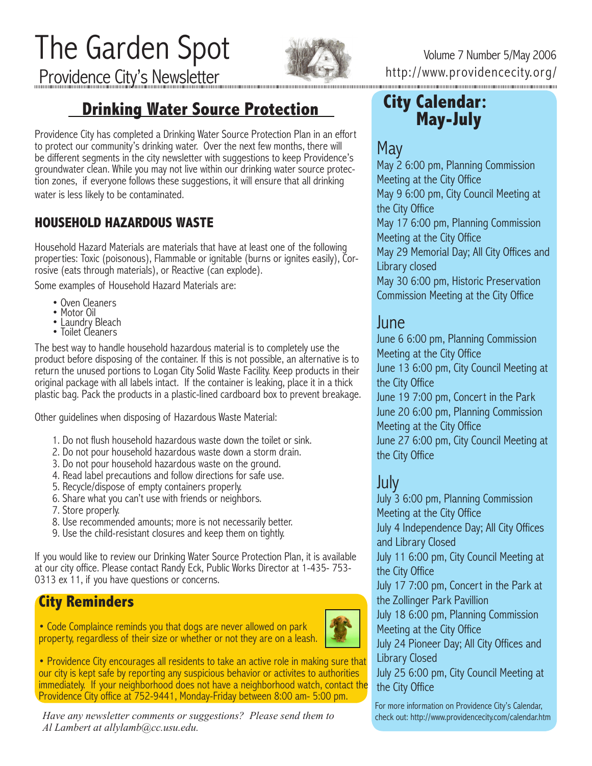The Garden Spot Providence City's Newsletter



Volume 7 Number 5/May 2006 http://www.providencecity.org/

# **Drinking Water Source Protection**

Providence City has completed a Drinking Water Source Protection Plan in an effort to protect our community's drinking water. Over the next few months, there will be different segments in the city newsletter with suggestions to keep Providence's groundwater clean. While you may not live within our drinking water source protection zones, if everyone follows these suggestions, it will ensure that all drinking water is less likely to be contaminated.

## **HOUSEHOLD HAZARDOUS WASTE**

Household Hazard Materials are materials that have at least one of the following properties: Toxic (poisonous), Flammable or ignitable (burns or ignites easily), Corrosive (eats through materials), or Reactive (can explode).

Some examples of Household Hazard Materials are:

- Oven Cleaners
- Motor Oil
- Laundry Bleach
- Toilet Cleaners

The best way to handle household hazardous material is to completely use the product before disposing of the container. If this is not possible, an alternative is to return the unused portions to Logan City Solid Waste Facility. Keep products in their original package with all labels intact. If the container is leaking, place it in a thick plastic bag. Pack the products in a plastic-lined cardboard box to prevent breakage.

Other guidelines when disposing of Hazardous Waste Material:

- 1. Do not flush household hazardous waste down the toilet or sink.
- 2. Do not pour household hazardous waste down a storm drain.
- 3. Do not pour household hazardous waste on the ground.
- 4. Read label precautions and follow directions for safe use.
- 5. Recycle/dispose of empty containers properly.
- 6. Share what you can't use with friends or neighbors.
- 7. Store properly.
- 8. Use recommended amounts; more is not necessarily better.
- 9. Use the child-resistant closures and keep them on tightly.

If you would like to review our Drinking Water Source Protection Plan, it is available at our city office. Please contact Randy Eck, Public Works Director at 1-435- 753- 0313 ex 11, if you have questions or concerns.

## **City Reminders**

• Code Complaince reminds you that dogs are never allowed on park property, regardless of their size or whether or not they are on a leash.



• Providence City encourages all residents to take an active role in making sure that our city is kept safe by reporting any suspicious behavior or activites to authorities immediately. If your neighborhood does not have a neighborhood watch, contact the Providence City office at 752-9441, Monday-Friday between 8:00 am- 5:00 pm.

*Have any newsletter comments or suggestions? Please send them to Al Lambert at allylamb@cc.usu.edu.*

# **City Calendar: May-July**

# May

May 2 6:00 pm, Planning Commission Meeting at the City Office May 9 6:00 pm, City Council Meeting at the City Office May 17 6:00 pm, Planning Commission

Meeting at the City Office

May 29 Memorial Day; All City Offices and Library closed

May 30 6:00 pm, Historic Preservation Commission Meeting at the City Office

## June

June 6 6:00 pm, Planning Commission Meeting at the City Office June 13 6:00 pm, City Council Meeting at the City Office June 19 7:00 pm, Concert in the Park June 20 6:00 pm, Planning Commission Meeting at the City Office June 27 6:00 pm, City Council Meeting at the City Office

# July

July 3 6:00 pm, Planning Commission Meeting at the City Office July 4 Independence Day; All City Offices and Library Closed July 11 6:00 pm, City Council Meeting at the City Office July 17 7:00 pm, Concert in the Park at the Zollinger Park Pavillion July 18 6:00 pm, Planning Commission Meeting at the City Office July 24 Pioneer Day; All City Offices and Library Closed July 25 6:00 pm, City Council Meeting at

the City Office For more information on Providence City's Calendar, check out: http://www.providencecity.com/calendar.htm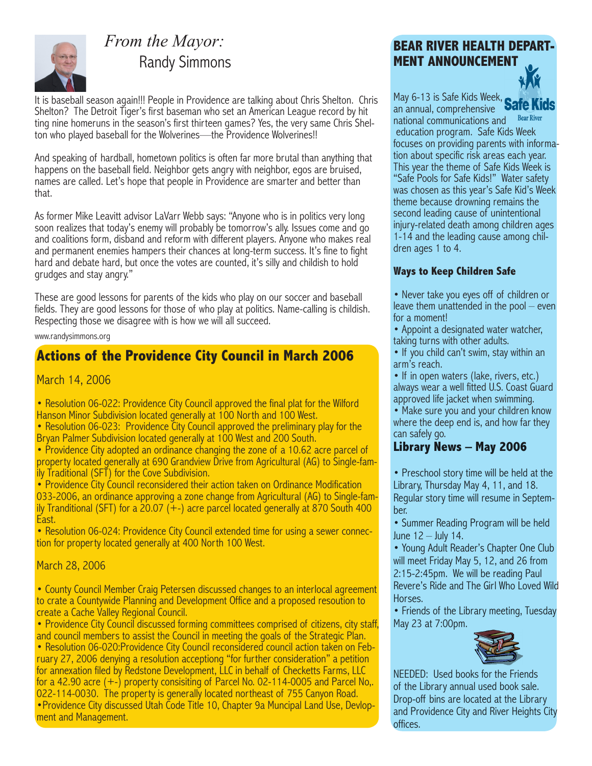

# *From the Mayor:* Randy Simmons

It is baseball season again!!! People in Providence are talking about Chris Shelton. Chris Shelton? The Detroit Tiger's first baseman who set an American League record by hit ting nine homeruns in the season's first thirteen games? Yes, the very same Chris Shelton who played baseball for the Wolverines—the Providence Wolverines!!

And speaking of hardball, hometown politics is often far more brutal than anything that happens on the baseball field. Neighbor gets angry with neighbor, egos are bruised, names are called. Let's hope that people in Providence are smarter and better than that.

As former Mike Leavitt advisor LaVarr Webb says: "Anyone who is in politics very long soon realizes that today's enemy will probably be tomorrow's ally. Issues come and go and coalitions form, disband and reform with different players. Anyone who makes real and permanent enemies hampers their chances at long-term success. It's fine to fight hard and debate hard, but once the votes are counted, it's silly and childish to hold grudges and stay angry."

These are good lessons for parents of the kids who play on our soccer and baseball fields. They are good lessons for those of who play at politics. Name-calling is childish. Respecting those we disagree with is how we will all succeed.

#### www.randysimmons.org

## **Actions of the Providence City Council in March 2006**

### March 14, 2006

• Resolution 06-022: Providence City Council approved the final plat for the Wilford Hanson Minor Subdivision located generally at 100 North and 100 West.

• Resolution 06-023: Providence City Council approved the preliminary play for the Bryan Palmer Subdivision located generally at 100 West and 200 South.

• Providence City adopted an ordinance changing the zone of a 10.62 acre parcel of property located generally at 690 Grandview Drive from Agricultural (AG) to Single-family Traditional (SFT) for the Cove Subdivision.

• Providence City Council reconsidered their action taken on Ordinance Modification 033-2006, an ordinance approving a zone change from Agricultural (AG) to Single-family Tranditional (SFT) for a 20.07  $(+)$  acre parcel located generally at 870 South 400 East.

• Resolution 06-024: Providence City Council extended time for using a sewer connection for property located generally at 400 North 100 West.

March 28, 2006

• County Council Member Craig Petersen discussed changes to an interlocal agreement to crate a Countywide Planning and Development Office and a proposed resoution to create a Cache Valley Regional Council.

• Providence City Council discussed forming committees comprised of citizens, city staff, and council members to assist the Council in meeting the goals of the Strategic Plan. • Resolution 06-020:Providence City Council reconsidered council action taken on February 27, 2006 denying a resolution acceptiong "for further consideration" a petition for annexation filed by Redstone Development, LLC in behalf of Checketts Farms, LLC for a 42.90 acre (+-) property consisiting of Parcel No. 02-114-0005 and Parcel No,. 022-114-0030. The property is generally located northeast of 755 Canyon Road. •Providence City discussed Utah Code Title 10, Chapter 9a Muncipal Land Use, Devlop- ment and Management.

### **BEAR RIVER HEALTH DEPART-MENT ANNOUNCEMENT**



May 6-13 is Safe Kids Week, an annual, comprehensive **Bear River** national communications and education program. Safe Kids Week focuses on providing parents with information about specific risk areas each year. This year the theme of Safe Kids Week is "Safe Pools for Safe Kids!" Water safety was chosen as this year's Safe Kid's Week theme because drowning remains the second leading cause of unintentional injury-related death among children ages 1-14 and the leading cause among children ages 1 to 4.

### **Ways to Keep Children Safe**

- Never take you eyes off of children or leave them unattended in the pool – even for a moment!
- Appoint a designated water watcher, taking turns with other adults.
- If you child can't swim, stay within an arm's reach.

• If in open waters (lake, rivers, etc.) always wear a well fitted U.S. Coast Guard approved life jacket when swimming.

• Make sure you and your children know where the deep end is, and how far they can safely go.

### **Library News – May 2006**

• Preschool story time will be held at the Library, Thursday May 4, 11, and 18. Regular story time will resume in September.

• Summer Reading Program will be held June 12 – July 14.

• Young Adult Reader's Chapter One Club will meet Friday May 5, 12, and 26 from 2:15-2:45pm. We will be reading Paul Revere's Ride and The Girl Who Loved Wild Horses.

• Friends of the Library meeting, Tuesday May 23 at 7:00pm.



NEEDED: Used books for the Friends of the Library annual used book sale. Drop-off bins are located at the Library and Providence City and River Heights City offices.